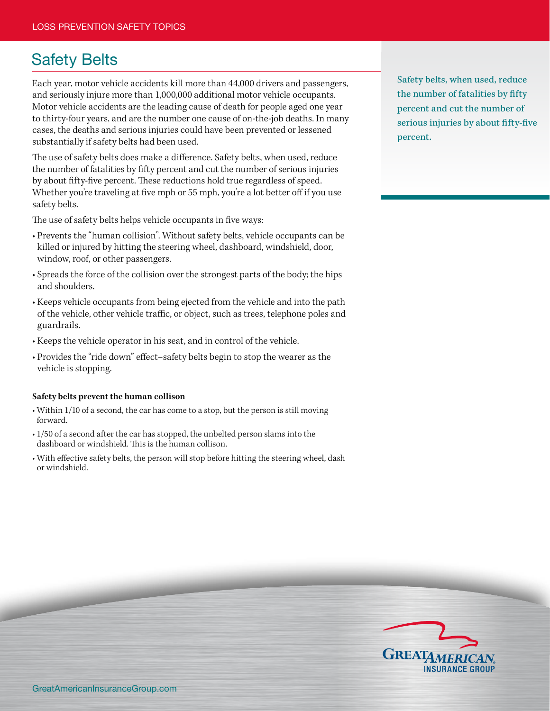## Safety Belts

Each year, motor vehicle accidents kill more than 44,000 drivers and passengers, and seriously injure more than 1,000,000 additional motor vehicle occupants. Motor vehicle accidents are the leading cause of death for people aged one year to thirty-four years, and are the number one cause of on-the-job deaths. In many cases, the deaths and serious injuries could have been prevented or lessened substantially if safety belts had been used.

The use of safety belts does make a difference. Safety belts, when used, reduce the number of fatalities by fifty percent and cut the number of serious injuries by about fifty-five percent. These reductions hold true regardless of speed. Whether you're traveling at five mph or 55 mph, you're a lot better off if you use safety belts.

The use of safety belts helps vehicle occupants in five ways:

- Prevents the "human collision". Without safety belts, vehicle occupants can be killed or injured by hitting the steering wheel, dashboard, windshield, door, window, roof, or other passengers.
- Spreads the force of the collision over the strongest parts of the body; the hips and shoulders.
- Keeps vehicle occupants from being ejected from the vehicle and into the path of the vehicle, other vehicle traffic, or object, such as trees, telephone poles and guardrails.
- Keeps the vehicle operator in his seat, and in control of the vehicle.
- Provides the "ride down" effect–safety belts begin to stop the wearer as the vehicle is stopping.

## **Safety belts prevent the human collison**

- Within 1/10 of a second, the car has come to a stop, but the person is still moving forward.
- 1/50 of a second after the car has stopped, the unbelted person slams into the dashboard or windshield. This is the human collison.
- With effective safety belts, the person will stop before hitting the steering wheel, dash or windshield.

Safety belts, when used, reduce the number of fatalities by fifty percent and cut the number of serious injuries by about fifty-five percent.